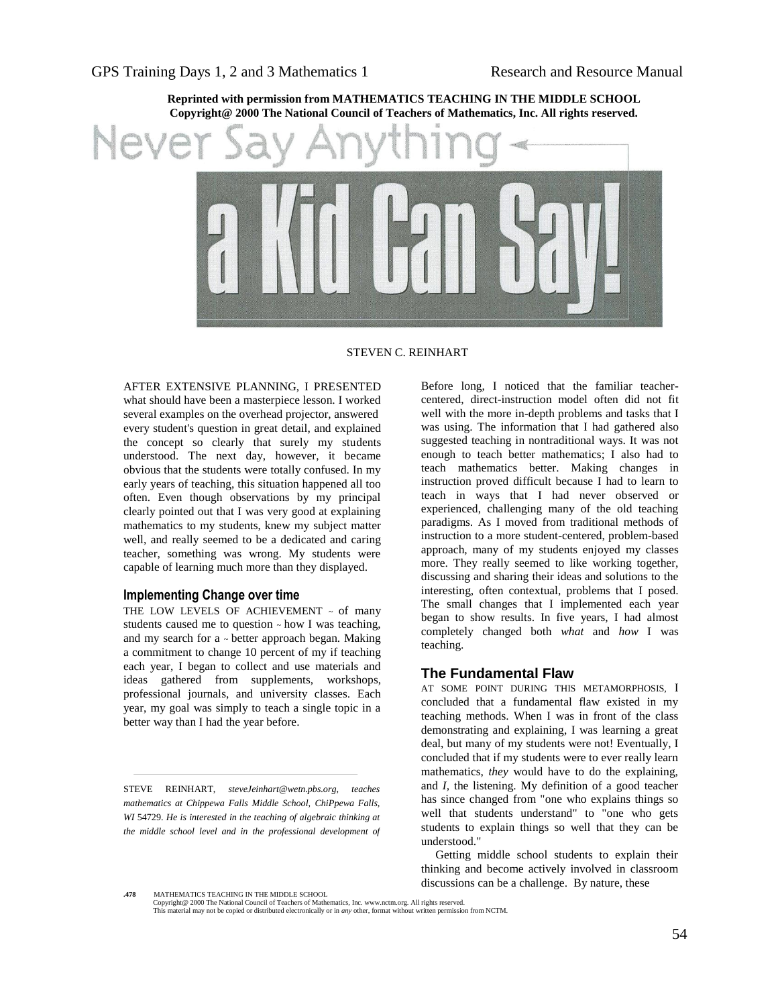

### STEVEN C. REINHART

AFTER EXTENSIVE PLANNING, I PRESENTED what should have been a masterpiece lesson. I worked several examples on the overhead projector, answered every student's question in great detail, and explained the concept so clearly that surely my students understood. The next day, however, it became obvious that the students were totally confused. In my early years of teaching, this situation happened all too often. Even though observations by my principal clearly pointed out that I was very good at explaining mathematics to my students, knew my subject matter well, and really seemed to be a dedicated and caring teacher, something was wrong. My students were capable of learning much more than they displayed.

## **Implementing Change over time**

THE LOW LEVELS OF ACHIEVEMENT ~ of many students caused me to question ~ how I was teaching, and my search for a ~ better approach began. Making a commitment to change 10 percent of my if teaching each year, I began to collect and use materials and ideas gathered from supplements, workshops, professional journals, and university classes. Each year, my goal was simply to teach a single topic in a better way than I had the year before.

STEVE REINHART, *steveJeinhart@wetn.pbs.org, teaches mathematics at Chippewa Falls Middle School, ChiPpewa Falls, WI* 54729. *He is interested in the teaching of algebraic thinking at the middle school level and in the professional development of* 

Before long, I noticed that the familiar teachercentered, direct-instruction model often did not fit well with the more in-depth problems and tasks that I was using. The information that I had gathered also suggested teaching in nontraditional ways. It was not enough to teach better mathematics; I also had to teach mathematics better. Making changes in instruction proved difficult because I had to learn to teach in ways that I had never observed or experienced, challenging many of the old teaching paradigms. As I moved from traditional methods of instruction to a more student-centered, problem-based approach, many of my students enjoyed my classes more. They really seemed to like working together, discussing and sharing their ideas and solutions to the interesting, often contextual, problems that I posed. The small changes that I implemented each year began to show results. In five years, I had almost completely changed both *what* and *how* I was teaching.

## **The Fundamental Flaw**

AT SOME POINT DURING THIS METAMORPHOSIS, I concluded that a fundamental flaw existed in my teaching methods. When I was in front of the class demonstrating and explaining, I was learning a great deal, but many of my students were not! Eventually, I concluded that if my students were to ever really learn mathematics, *they* would have to do the explaining, and *I,* the listening. My definition of a good teacher has since changed from "one who explains things so well that students understand" to "one who gets students to explain things so well that they can be understood."

Getting middle school students to explain their thinking and become actively involved in classroom discussions can be a challenge. By nature, these

**.478** MATHEMATICS TEACHING IN THE MIDDLE SCHOOL

Copyright@ 2000 The National Council of Teachers of Mathematics, Inc. www.nctm.org. All rights reserved. This material may not be copied or distributed electronically or in *any* other, format without written permission from NCTM.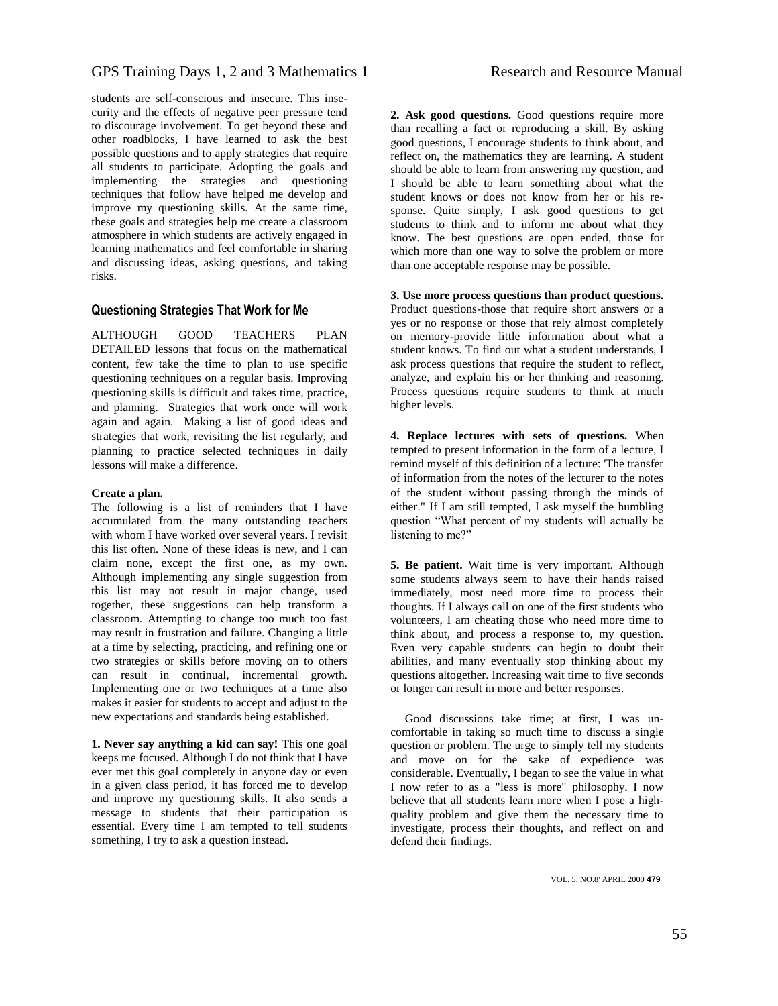# GPS Training Days 1, 2 and 3 Mathematics 1 Research and Resource Manual

students are self-conscious and insecure. This insecurity and the effects of negative peer pressure tend to discourage involvement. To get beyond these and other roadblocks, I have learned to ask the best possible questions and to apply strategies that require all students to participate. Adopting the goals and implementing the strategies and questioning techniques that follow have helped me develop and improve my questioning skills. At the same time, these goals and strategies help me create a classroom atmosphere in which students are actively engaged in learning mathematics and feel comfortable in sharing and discussing ideas, asking questions, and taking risks.

## **Questioning Strategies That Work for Me**

ALTHOUGH GOOD TEACHERS PLAN DETAILED lessons that focus on the mathematical content, few take the time to plan to use specific questioning techniques on a regular basis. Improving questioning skills is difficult and takes time, practice, and planning. Strategies that work once will work again and again. Making a list of good ideas and strategies that work, revisiting the list regularly, and planning to practice selected techniques in daily lessons will make a difference.

## **Create a plan.**

The following is a list of reminders that I have accumulated from the many outstanding teachers with whom I have worked over several years. I revisit this list often. None of these ideas is new, and I can claim none, except the first one, as my own. Although implementing any single suggestion from this list may not result in major change, used together, these suggestions can help transform a classroom. Attempting to change too much too fast may result in frustration and failure. Changing a little at a time by selecting, practicing, and refining one or two strategies or skills before moving on to others can result in continual, incremental growth. Implementing one or two techniques at a time also makes it easier for students to accept and adjust to the new expectations and standards being established.

**1. Never say anything a kid can say!** This one goal keeps me focused. Although I do not think that I have ever met this goal completely in anyone day or even in a given class period, it has forced me to develop and improve my questioning skills. It also sends a message to students that their participation is essential. Every time I am tempted to tell students something, I try to ask a question instead.

**2. Ask good questions.** Good questions require more than recalling a fact or reproducing a skill. By asking good questions, I encourage students to think about, and reflect on, the mathematics they are learning. A student should be able to learn from answering my question, and I should be able to learn something about what the student knows or does not know from her or his response. Quite simply, I ask good questions to get students to think and to inform me about what they know. The best questions are open ended, those for which more than one way to solve the problem or more than one acceptable response may be possible.

#### **3. Use more process questions than product questions.**

Product questions-those that require short answers or a yes or no response or those that rely almost completely on memory-provide little information about what a student knows. To find out what a student understands, I ask process questions that require the student to reflect, analyze, and explain his or her thinking and reasoning. Process questions require students to think at much higher levels.

**4. Replace lectures with sets of questions.** When tempted to present information in the form of a lecture, I remind myself of this definition of a lecture: 'The transfer of information from the notes of the lecturer to the notes of the student without passing through the minds of either." If I am still tempted, I ask myself the humbling question "What percent of my students will actually be listening to me?"

**5. Be patient.** Wait time is very important. Although some students always seem to have their hands raised immediately, most need more time to process their thoughts. If I always call on one of the first students who volunteers, I am cheating those who need more time to think about, and process a response to, my question. Even very capable students can begin to doubt their abilities, and many eventually stop thinking about my questions altogether. Increasing wait time to five seconds or longer can result in more and better responses.

Good discussions take time; at first, I was uncomfortable in taking so much time to discuss a single question or problem. The urge to simply tell my students and move on for the sake of expedience was considerable. Eventually, I began to see the value in what I now refer to as a "less is more" philosophy. I now believe that all students learn more when I pose a highquality problem and give them the necessary time to investigate, process their thoughts, and reflect on and defend their findings.

VOL. 5, NO.8' APRIL 2000 **479**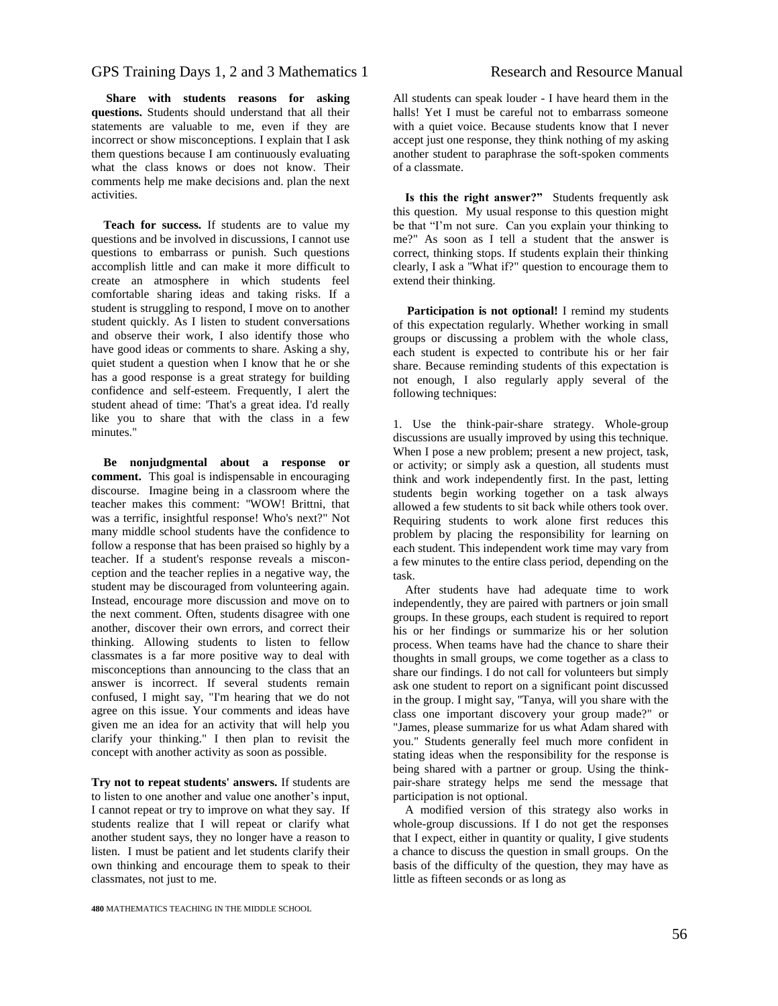# GPS Training Days 1, 2 and 3 Mathematics 1 Research and Resource Manual

**Share with students reasons for asking questions.** Students should understand that all their statements are valuable to me, even if they are incorrect or show misconceptions. I explain that I ask them questions because I am continuously evaluating what the class knows or does not know. Their comments help me make decisions and. plan the next activities.

 **Teach for success.** If students are to value my questions and be involved in discussions, I cannot use questions to embarrass or punish. Such questions accomplish little and can make it more difficult to create an atmosphere in which students feel comfortable sharing ideas and taking risks. If a student is struggling to respond, I move on to another student quickly. As I listen to student conversations and observe their work, I also identify those who have good ideas or comments to share. Asking a shy, quiet student a question when I know that he or she has a good response is a great strategy for building confidence and self-esteem. Frequently, I alert the student ahead of time: 'That's a great idea. I'd really like you to share that with the class in a few minutes."

 **Be nonjudgmental about a response or comment.** This goal is indispensable in encouraging discourse. Imagine being in a classroom where the teacher makes this comment: ''WOW! Brittni, that was a terrific, insightful response! Who's next?" Not many middle school students have the confidence to follow a response that has been praised so highly by a teacher. If a student's response reveals a misconception and the teacher replies in a negative way, the student may be discouraged from volunteering again. Instead, encourage more discussion and move on to the next comment. Often, students disagree with one another, discover their own errors, and correct their thinking. Allowing students to listen to fellow classmates is a far more positive way to deal with misconceptions than announcing to the class that an answer is incorrect. If several students remain confused, I might say, "I'm hearing that we do not agree on this issue. Your comments and ideas have given me an idea for an activity that will help you clarify your thinking." I then plan to revisit the concept with another activity as soon as possible.

**Try not to repeat students' answers.** If students are to listen to one another and value one another's input, I cannot repeat or try to improve on what they say. If students realize that I will repeat or clarify what another student says, they no longer have a reason to listen. I must be patient and let students clarify their own thinking and encourage them to speak to their classmates, not just to me.

All students can speak louder - I have heard them in the halls! Yet I must be careful not to embarrass someone with a quiet voice. Because students know that I never accept just one response, they think nothing of my asking another student to paraphrase the soft-spoken comments of a classmate.

 **Is this the right answer?"** Students frequently ask this question. My usual response to this question might be that "I'm not sure. Can you explain your thinking to me?" As soon as I tell a student that the answer is correct, thinking stops. If students explain their thinking clearly, I ask a ''What if?" question to encourage them to extend their thinking.

**Participation is not optional!** I remind my students of this expectation regularly. Whether working in small groups or discussing a problem with the whole class, each student is expected to contribute his or her fair share. Because reminding students of this expectation is not enough, I also regularly apply several of the following techniques:

1. Use the think-pair-share strategy. Whole-group discussions are usually improved by using this technique. When I pose a new problem; present a new project, task, or activity; or simply ask a question, all students must think and work independently first. In the past, letting students begin working together on a task always allowed a few students to sit back while others took over. Requiring students to work alone first reduces this problem by placing the responsibility for learning on each student. This independent work time may vary from a few minutes to the entire class period, depending on the task.

 After students have had adequate time to work independently, they are paired with partners or join small groups. In these groups, each student is required to report his or her findings or summarize his or her solution process. When teams have had the chance to share their thoughts in small groups, we come together as a class to share our findings. I do not call for volunteers but simply ask one student to report on a significant point discussed in the group. I might say, ''Tanya, will you share with the class one important discovery your group made?" or "James, please summarize for us what Adam shared with you." Students generally feel much more confident in stating ideas when the responsibility for the response is being shared with a partner or group. Using the thinkpair-share strategy helps me send the message that participation is not optional.

 A modified version of this strategy also works in whole-group discussions. If I do not get the responses that I expect, either in quantity or quality, I give students a chance to discuss the question in small groups. On the basis of the difficulty of the question, they may have as little as fifteen seconds or as long as